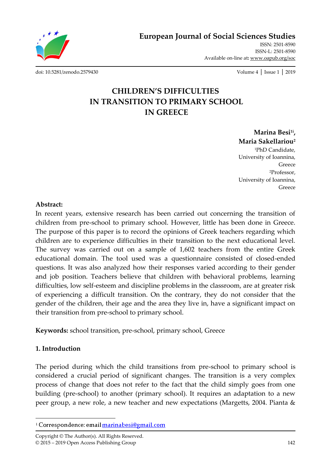**European Journal of Social Sciences Studies**

Available on-line at**:** www.oapub.org/soc

[doi: 10.5281/zenodo.2579430](http://dx.doi.org/10.5281/zenodo.2579430) Volume 4 │ Issue 1 │ 2019

ISSN: 2501-8590 ISSN-L: 2501-8590

# **CHILDREN'S DIFFICULTIES IN TRANSITION TO PRIMARY SCHOOL IN GREECE**

**Marina Besi1i , Maria Sakellariou<sup>2</sup>** <sup>1</sup>PhD Candidate, University of Ioannina, Greece <sup>2</sup>Professor, University of Ioannina, Greece

#### **Abstract:**

In recent years, extensive research has been carried out concerning the transition of children from pre-school to primary school. However, little has been done in Greece. The purpose of this paper is to record the opinions of Greek teachers regarding which children are to experience difficulties in their transition to the next educational level. The survey was carried out on a sample of 1,602 teachers from the entire Greek educational domain. The tool used was a questionnaire consisted of closed-ended questions. It was also analyzed how their responses varied according to their gender and job position. Teachers believe that children with behavioral problems, learning difficulties, low self-esteem and discipline problems in the classroom, are at greater risk of experiencing a difficult transition. On the contrary, they do not consider that the gender of the children, their age and the area they live in, have a significant impact on their transition from pre-school to primary school.

**Keywords:** school transition, pre-school, primary school, Greece

## **1. Introduction**

The period during which the child transitions from pre-school to primary school is considered a crucial period of significant changes. The transition is a very complex process of change that does not refer to the fact that the child simply goes from one building (pre-school) to another (primary school). It requires an adaptation to a new peer group, a new role, a new teacher and new expectations (Margetts, 2004. Pianta &

 $\overline{\phantom{a}}$ <sup>i</sup> Correspondence: email marinabesi@gmail.com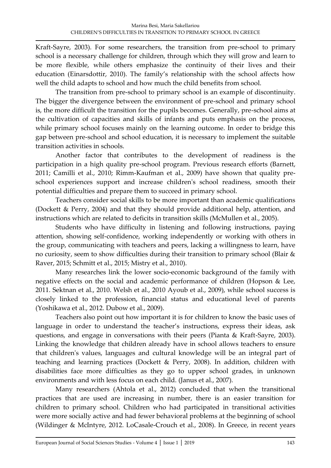Kraft-Sayre, 2003). For some researchers, the transition from pre-school to primary school is a necessary challenge for children, through which they will grow and learn to be more flexible, while others emphasize the continuity of their lives and their education (Einarsdottir, 2010). The family's relationship with the school affects how well the child adapts to school and how much the child benefits from school.

The transition from pre-school to primary school is an example of discontinuity. The bigger the divergence between the environment of pre-school and primary school is, the more difficult the transition for the pupils becomes. Generally, pre-school aims at the cultivation of capacities and skills of infants and puts emphasis on the process, while primary school focuses mainly on the learning outcome. In order to bridge this gap between pre-school and school education, it is necessary to implement the suitable transition activities in schools.

Another factor that contributes to the development of readiness is the participation in a high quality pre-school program. Previous research efforts (Barnett, 2011; Camilli et al., 2010; Rimm-Kaufman et al., 2009) have shown that quality preschool experiences support and increase children's school readiness, smooth their potential difficulties and prepare them to succeed in primary school.

Teachers consider social skills to be more important than academic qualifications (Dockett & Perry, 2004) and that they should provide additional help, attention, and instructions which are related to deficits in transition skills (McMullen et al., 2005).

Students who have difficulty in listening and following instructions, paying attention, showing self-confidence, working independently or working with others in the group, communicating with teachers and peers, lacking a willingness to learn, have no curiosity, seem to show difficulties during their transition to primary school (Blair & Raver, 2015; Schmitt et al., 2015; Mistry et al., 2010).

Many researches link the lower socio-economic background of the family with negative effects on the social and academic performance of children (Hopson & Lee, 2011. Sektnan et al., 2010. Welsh et al., 2010 Ayoub et al., 2009), while school success is closely linked to the profession, financial status and educational level of parents (Yoshikawa et al., 2012. Dubow et al., 2009).

Teachers also point out how important it is for children to know the basic uses of language in order to understand the teacher's instructions, express their ideas, ask questions, and engage in conversations with their peers (Pianta & Kraft-Sayre, 2003). Linking the knowledge that children already have in school allows teachers to ensure that children's values, languages and cultural knowledge will be an integral part of teaching and learning practices (Dockett & Perry, 2008). In addition, children with disabilities face more difficulties as they go to upper school grades, in unknown environments and with less focus on each child. (Janus et al., 2007).

Many researchers (Ahtola et al., 2012) concluded that when the transitional practices that are used are increasing in number, there is an easier transition for children to primary school. Children who had participated in transitional activities were more socially active and had fewer behavioral problems at the beginning of school (Wildinger & McIntyre, 2012. LoCasale-Crouch et al., 2008). In Greece, in recent years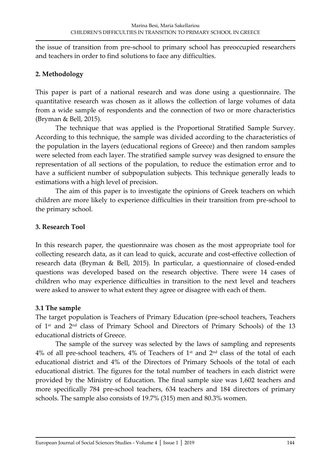the issue of transition from pre-school to primary school has preoccupied researchers and teachers in order to find solutions to face any difficulties.

### **2. Methodology**

This paper is part of a national research and was done using a questionnaire. The quantitative research was chosen as it allows the collection of large volumes of data from a wide sample of respondents and the connection of two or more characteristics (Bryman & Bell, 2015).

The technique that was applied is the Proportional Stratified Sample Survey. According to this technique, the sample was divided according to the characteristics of the population in the layers (educational regions of Greece) and then random samples were selected from each layer. The stratified sample survey was designed to ensure the representation of all sections of the population, to reduce the estimation error and to have a sufficient number of subpopulation subjects. This technique generally leads to estimations with a high level of precision.

The aim of this paper is to investigate the opinions of Greek teachers on which children are more likely to experience difficulties in their transition from pre-school to the primary school.

#### **3. Research Tool**

In this research paper, the questionnaire was chosen as the most appropriate tool for collecting research data, as it can lead to quick, accurate and cost-effective collection of research data (Bryman & Bell, 2015). In particular, a questionnaire of closed-ended questions was developed based on the research objective. There were 14 cases of children who may experience difficulties in transition to the next level and teachers were asked to answer to what extent they agree or disagree with each of them.

#### **3.1 The sample**

The target population is Teachers of Primary Education (pre-school teachers, Teachers of 1st and 2nd class of Primary School and Directors of Primary Schools) of the 13 educational districts of Greece.

The sample of the survey was selected by the laws of sampling and represents  $4\%$  of all pre-school teachers,  $4\%$  of Teachers of  $1<sup>st</sup>$  and  $2<sup>nd</sup>$  class of the total of each educational district and 4% of the Directors of Primary Schools of the total of each educational district. The figures for the total number of teachers in each district were provided by the Ministry of Education. The final sample size was 1,602 teachers and more specifically 784 pre-school teachers, 634 teachers and 184 directors of primary schools. The sample also consists of 19.7% (315) men and 80.3% women.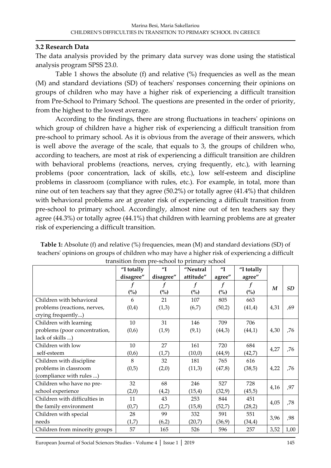#### **3.2 Research Data**

The data analysis provided by the primary data survey was done using the statistical analysis program SPSS 23.0.

Table 1 shows the absolute (f) and relative (%) frequencies as well as the mean (M) and standard deviations (SD) of teachers' responses concerning their opinions on groups of children who may have a higher risk of experiencing a difficult transition from Pre-School to Primary School. The questions are presented in the order of priority, from the highest to the lowest average.

According to the findings, there are strong fluctuations in teachers' opinions on which group of children have a higher risk of experiencing a difficult transition from pre-school to primary school. As it is obvious from the average of their answers, which is well above the average of the scale, that equals to 3, the groups of children who, according to teachers, are most at risk of experiencing a difficult transition are children with behavioral problems (reactions, nerves, crying frequently, etc.), with learning problems (poor concentration, lack of skills, etc.), low self-esteem and discipline problems in classroom (compliance with rules, etc.). For example, in total, more than nine out of ten teachers say that they agree (50.2%) or totally agree (41.4%) that children with behavioral problems are at greater risk of experiencing a difficult transition from pre-school to primary school. Accordingly, almost nine out of ten teachers say they agree (44.3%) or totally agree (44.1%) that children with learning problems are at greater risk of experiencing a difficult transition.

| transition from pre-school to primary school |            |                     |                |                    |            |                  |      |  |
|----------------------------------------------|------------|---------------------|----------------|--------------------|------------|------------------|------|--|
|                                              | "I totally | $^{\prime\prime}$ T | "Neutral       | $^{\prime\prime}I$ | "I totally |                  |      |  |
|                                              | disagree"  | disagree"           | attitude"      | agree"             | agree"     |                  |      |  |
|                                              |            |                     | f              | f                  |            | $\boldsymbol{M}$ | SD   |  |
|                                              | (%)        | (%)                 | $\binom{0}{0}$ | $\binom{0}{0}$     | (%)        |                  |      |  |
| Children with behavioral                     | 6          | 21                  | 107            | 805                | 663        |                  |      |  |
| problems (reactions, nerves,                 | (0,4)      | (1,3)               | (6,7)          | (50,2)             | (41,4)     | 4,31             | ,69  |  |
| crying frequently)                           |            |                     |                |                    |            |                  |      |  |
| Children with learning                       | 10         | 31                  | 146            | 709                | 706        |                  |      |  |
| problems (poor concentration,                | (0,6)      | (1, 9)              | (9,1)          | (44,3)             | (44,1)     | 4,30             | ,76  |  |
| lack of skills )                             |            |                     |                |                    |            |                  |      |  |
| Children with low                            | 10         | 27                  | 161            | 720                | 684        | 4,27             | ,76  |  |
| self-esteem                                  | (0,6)      | (1,7)               | (10,0)         | (44, 9)            | (42,7)     |                  |      |  |
| Children with discipline                     | 8          | 32                  | 181            | 765                | 616        |                  |      |  |
| problems in classroom                        | (0,5)      | (2,0)               | (11,3)         | (47,8)             | (38,5)     | 4,22             | ,76  |  |
| (compliance with rules )                     |            |                     |                |                    |            |                  |      |  |
| Children who have no pre-                    | 32         | 68                  | 246            | 527                | 728        | 4,16             | ,97  |  |
| school experience                            | (2,0)      | (4,2)               | (15,4)         | (32, 9)            | (45,5)     |                  |      |  |
| Children with difficulties in                | 11         | 43                  | 253            | 844                | 451        | 4,05             | ,78  |  |
| the family environment                       | (0,7)      | (2,7)               | (15, 8)        | (52,7)             | (28,2)     |                  |      |  |
| Children with special                        | 28         | 99                  | 332            | 591                | 551        | 3,96             | ,98  |  |
| needs                                        | (1,7)      | (6,2)               | (20,7)         | (36, 9)            | (34,4)     |                  |      |  |
| Children from minority groups                | 57         | 165                 | 526            | 596                | 257        | 3,52             | 1,00 |  |

**Table 1:** Absolute (f) and relative (%) frequencies, mean (M) and standard deviations (SD) of teachers' opinions on groups of children who may have a higher risk of experiencing a difficult transition from pre-school to primary school

European Journal of Social Sciences Studies - Volume 4 │ Issue 1 │ 2019 145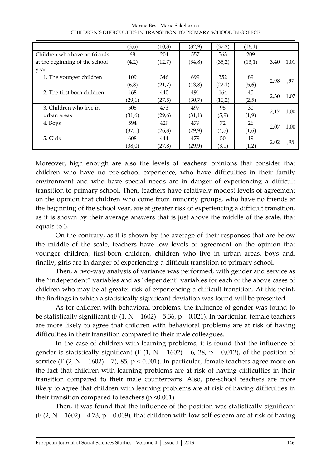|                                | (3,6)  | (10,3) | (32,9)  | (37,2) | (16,1) |      |      |
|--------------------------------|--------|--------|---------|--------|--------|------|------|
| Children who have no friends   | 68     | 204    | 557     | 563    | 209    |      |      |
| at the beginning of the school | (4,2)  | (12,7) | (34, 8) | (35,2) | (13,1) | 3,40 | 1,01 |
| year                           |        |        |         |        |        |      |      |
| 1. The younger children        | 109    | 346    | 699     | 352    | 89     | 2,98 | ,97  |
|                                | (6,8)  | (21,7) | (43, 8) | (22,1) | (5,6)  |      |      |
| 2. The first born children     | 468    | 440    | 491     | 164    | 40     | 2,30 | 1,07 |
|                                | (29,1) | (27,5) | (30,7)  | (10,2) | (2,5)  |      |      |
| 3. Children who live in        | 505    | 473    | 497     | 95     | 30     | 2,17 | 1,00 |
| urban areas                    | (31,6) | (29,6) | (31,1)  | (5, 9) | (1, 9) |      |      |
| 4. Boys                        | 594    | 429    | 479     | 72     | 26     | 2,07 | 1,00 |
|                                | (37,1) | (26,8) | (29,9)  | (4,5)  | (1,6)  |      |      |
| 5. Girls                       | 608    | 444    | 479     | 50     | 19     | 2,02 | ,95  |
|                                | (38,0) | (27,8) | (29, 9) | (3,1)  | (1,2)  |      |      |

Marina Besi, Maria Sakellariou CHILDREN'S DIFFICULTIES IN TRANSITION TO PRIMARY SCHOOL IN GREECE

Moreover, high enough are also the levels of teachers' opinions that consider that children who have no pre-school experience, who have difficulties in their family environment and who have special needs are in danger of experiencing a difficult transition to primary school. Then, teachers have relatively modest levels of agreement on the opinion that children who come from minority groups, who have no friends at the beginning of the school year, are at greater risk of experiencing a difficult transition, as it is shown by their average answers that is just above the middle of the scale, that equals to 3.

On the contrary, as it is shown by the average of their responses that are below the middle of the scale, teachers have low levels of agreement on the opinion that younger children, first-born children, children who live in urban areas, boys and, finally, girls are in danger of experiencing a difficult transition to primary school.

Then, a two-way analysis of variance was performed, with gender and service as the "independent" variables and as "dependent" variables for each of the above cases of children who may be at greater risk of experiencing a difficult transition. At this point, the findings in which a statistically significant deviation was found will be presented.

As for children with behavioral problems, the influence of gender was found to be statistically significant (F  $(1, N = 1602) = 5.36$ ,  $p = 0.021$ ). In particular, female teachers are more likely to agree that children with behavioral problems are at risk of having difficulties in their transition compared to their male colleagues.

In the case of children with learning problems, it is found that the influence of gender is statistically significant (F  $(1, N = 1602) = 6$ , 28,  $p = 0.012$ ), of the position of service (F  $(2, N = 1602) = 7$ ), 85, p < 0.001). In particular, female teachers agree more on the fact that children with learning problems are at risk of having difficulties in their transition compared to their male counterparts. Also, pre-school teachers are more likely to agree that children with learning problems are at risk of having difficulties in their transition compared to teachers ( $p \le 0.001$ ).

Then, it was found that the influence of the position was statistically significant  $(F (2, N = 1602) = 4.73, p = 0.009)$ , that children with low self-esteem are at risk of having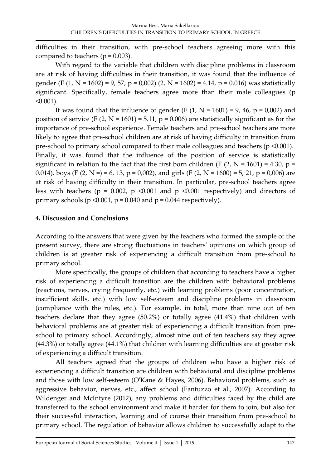difficulties in their transition, with pre-school teachers agreeing more with this compared to teachers ( $p = 0.003$ ).

With regard to the variable that children with discipline problems in classroom are at risk of having difficulties in their transition, it was found that the influence of gender (F  $(1, N = 1602) = 9, 57, p = 0,002$ )  $(2, N = 1602) = 4.14, p = 0.016$ ) was statistically significant. Specifically, female teachers agree more than their male colleagues (p  $< 0.001$ ).

It was found that the influence of gender (F  $(1, N = 1601) = 9$ , 46, p = 0,002) and position of service (F  $(2, N = 1601) = 5.11$ , p = 0.006) are statistically significant as for the importance of pre-school experience. Female teachers and pre-school teachers are more likely to agree that pre-school children are at risk of having difficulty in transition from pre-school to primary school compared to their male colleagues and teachers (p <0.001). Finally, it was found that the influence of the position of service is statistically significant in relation to the fact that the first born children (F  $(2, N = 1601) = 4.30$ , p = 0.014), boys (F  $(2, N = 6, 13, p = 0,002)$ , and girls (F  $(2, N = 1600) = 5, 21, p = 0,006)$  are at risk of having difficulty in their transition. In particular, pre-school teachers agree less with teachers ( $p = 0.002$ ,  $p \le 0.001$  and  $p \le 0.001$  respectively) and directors of primary schools ( $p \le 0.001$ ,  $p = 0.040$  and  $p = 0.044$  respectively).

## **4. Discussion and Conclusions**

According to the answers that were given by the teachers who formed the sample of the present survey, there are strong fluctuations in teachers' opinions on which group of children is at greater risk of experiencing a difficult transition from pre-school to primary school.

More specifically, the groups of children that according to teachers have a higher risk of experiencing a difficult transition are the children with behavioral problems (reactions, nerves, crying frequently, etc.) with learning problems (poor concentration, insufficient skills, etc.) with low self-esteem and discipline problems in classroom (compliance with the rules, etc.). For example, in total, more than nine out of ten teachers declare that they agree (50.2%) or totally agree (41.4%) that children with behavioral problems are at greater risk of experiencing a difficult transition from preschool to primary school. Accordingly, almost nine out of ten teachers say they agree (44.3%) or totally agree (44.1%) that children with learning difficulties are at greater risk of experiencing a difficult transition.

All teachers agreed that the groups of children who have a higher risk of experiencing a difficult transition are children with behavioral and discipline problems and those with low self-esteem (O'Kane & Hayes, 2006). Behavioral problems, such as aggressive behavior, nerves, etc., affect school (Fantuzzo et al., 2007). According to Wildenger and McIntyre (2012), any problems and difficulties faced by the child are transferred to the school environment and make it harder for them to join, but also for their successful interaction, learning and of course their transition from pre-school to primary school. The regulation of behavior allows children to successfully adapt to the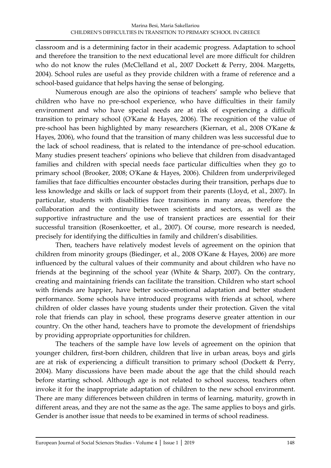classroom and is a determining factor in their academic progress. Adaptation to school and therefore the transition to the next educational level are more difficult for children who do not know the rules (McClelland et al., 2007 Dockett & Perry, 2004. Margetts, 2004). School rules are useful as they provide children with a frame of reference and a school-based guidance that helps having the sense of belonging.

Numerous enough are also the opinions of teachers' sample who believe that children who have no pre-school experience, who have difficulties in their family environment and who have special needs are at risk of experiencing a difficult transition to primary school (O'Kane & Hayes, 2006). The recognition of the value of pre-school has been highlighted by many researchers (Kiernan, et al., 2008 O'Kane & Hayes, 2006), who found that the transition of many children was less successful due to the lack of school readiness, that is related to the intendance of pre-school education. Many studies present teachers' opinions who believe that children from disadvantaged families and children with special needs face particular difficulties when they go to primary school (Brooker, 2008; O'Kane & Hayes, 2006). Children from underprivileged families that face difficulties encounter obstacles during their transition, perhaps due to less knowledge and skills or lack of support from their parents (Lloyd, et al., 2007). In particular, students with disabilities face transitions in many areas, therefore the collaboration and the continuity between scientists and sectors, as well as the supportive infrastructure and the use of transient practices are essential for their successful transition (Rosenkoetter, et al., 2007). Of course, more research is needed, precisely for identifying the difficulties in family and children's disabilities.

Then, teachers have relatively modest levels of agreement on the opinion that children from minority groups (Biedinger, et al., 2008 O'Kane & Hayes, 2006) are more influenced by the cultural values of their community and about children who have no friends at the beginning of the school year (White & Sharp, 2007). On the contrary, creating and maintaining friends can facilitate the transition. Children who start school with friends are happier, have better socio-emotional adaptation and better student performance. Some schools have introduced programs with friends at school, where children of older classes have young students under their protection. Given the vital role that friends can play in school, these programs deserve greater attention in our country. On the other hand, teachers have to promote the development of friendships by providing appropriate opportunities for children.

The teachers of the sample have low levels of agreement on the opinion that younger children, first-born children, children that live in urban areas, boys and girls are at risk of experiencing a difficult transition to primary school (Dockett & Perry, 2004). Many discussions have been made about the age that the child should reach before starting school. Although age is not related to school success, teachers often invoke it for the inappropriate adaptation of children to the new school environment. There are many differences between children in terms of learning, maturity, growth in different areas, and they are not the same as the age. The same applies to boys and girls. Gender is another issue that needs to be examined in terms of school readiness.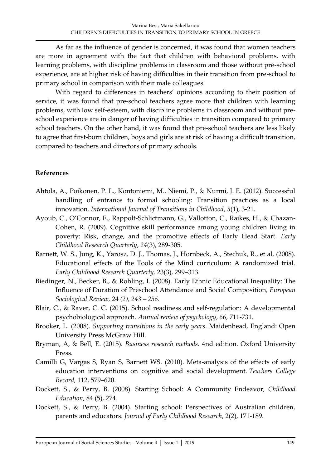As far as the influence of gender is concerned, it was found that women teachers are more in agreement with the fact that children with behavioral problems, with learning problems, with discipline problems in classroom and those without pre-school experience, are at higher risk of having difficulties in their transition from pre-school to primary school in comparison with their male colleagues.

With regard to differences in teachers' opinions according to their position of service, it was found that pre-school teachers agree more that children with learning problems, with low self-esteem, with discipline problems in classroom and without preschool experience are in danger of having difficulties in transition compared to primary school teachers. On the other hand, it was found that pre-school teachers are less likely to agree that first-born children, boys and girls are at risk of having a difficult transition, compared to teachers and directors of primary schools.

#### **References**

- Ahtola, A., Poikonen, P. L., Kontoniemi, M., Niemi, P., & Nurmi, J. E. (2012). Successful handling of entrance to formal schooling: Transition practices as a local innovation. *International Journal of Transitions in Childhood*, *5*(1), 3-21.
- Ayoub, C., O'Connor, E., Rappolt-Schlictmann, G., Vallotton, C., Raikes, H., & Chazan-Cohen, R. (2009). Cognitive skill performance among young children living in poverty: Risk, change, and the promotive effects of Early Head Start. *Early Childhood Research Quarterly*, *24*(3), 289-305.
- Barnett, W. S., Jung, K., Yarosz, D. J., Thomas, J., Hornbeck, A., Stechuk, R., et al. (2008). Educational effects of the Tools of the Mind curriculum: A randomized trial. *Early Childhood Research Quarterly,* 23(3), 299–313*.*
- Biedinger, N., Becker, B., & Rohling, I. (2008). Early Ethnic Educational Inequality: The Influence of Duration of Preschool Attendance and Social Composition*, European Sociological Review,* 24 *(2), 243 – 256.*
- Blair, C., & Raver, C. C. (2015). School readiness and self-regulation: A developmental psychobiological approach. *Annual review of psychology*, *66*, 711-731.
- Brooker, L. (2008). *Supporting transitions in the early years*. Maidenhead, England: Open University Press McGraw Hill.
- Bryman, A, & Bell, E. (2015). *Business research methods*. 4nd edition. Oxford University Press.
- Camilli G, Vargas S, Ryan S, Barnett WS. (2010). Meta-analysis of the effects of early education interventions on cognitive and social development. *Teachers College Record,* 112, 579–620.
- Dockett, S., & Perry, B. (2008). Starting School: A Community Endeavor*, Childhood Education*, 84 (5), 274.
- Dockett, S., & Perry, B. (2004). Starting school: Perspectives of Australian children, parents and educators. *Journal of Early Childhood Research*, 2(2), 171-189.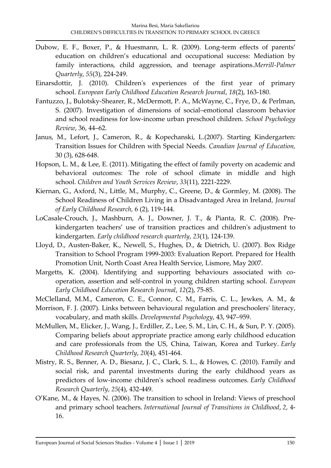- Dubow, E. F., Boxer, P., & Huesmann, L. R. (2009). Long-term effects of parents' education on children's educational and occupational success: Mediation by family interactions, child aggression, and teenage aspirations.*Merrill-Palmer Quarterly*, *55*(3), 224-249.
- Einarsdottir, J. (2010). Children's experiences of the first year of primary school. *European Early Childhood Education Research Journal*, *18*(2), 163-180.
- Fantuzzo, J., Bulotsky-Shearer, R., McDermott, P. A., McWayne, C., Frye, D., & Perlman, S. (2007). Investigation of dimensions of social–emotional classroom behavior and school readiness for low-income urban preschool children. *School Psychology Review*, 36, 44–62.
- Janus, M., Lefort, J., Cameron, R., & Kopechanski, L.(2007). Starting Kindergarten: Transition Issues for Children with Special Needs. *Canadian Journal of Education,* 30 (3), 628-648.
- Hopson, L. M., & Lee, E. (2011). Mitigating the effect of family poverty on academic and behavioral outcomes: The role of school climate in middle and high school. *Children and Youth Services Review*, *33*(11), 2221-2229.
- Kiernan, G., Axford, N., Little, M., Murphy, C., Greene, D., & Gormley, M. (2008). The School Readiness of Children Living in a Disadvantaged Area in Ireland*, Journal of Early Childhood Research,* 6 (2), 119-144.
- LoCasale-Crouch, J., Mashburn, A. J., Downer, J. T., & Pianta, R. C. (2008). Prekindergarten teachers' use of transition practices and children's adjustment to kindergarten. *Early childhood research quarterly*, *23*(1), 124-139.
- Lloyd, D., Austen-Baker, K., Newell, S., Hughes, D., & Dietrich, U. (2007). Box Ridge Transition to School Program 1999-2003: Evaluation Report. Prepared for Health Promotion Unit, North Coast Area Health Service, Lismore, May 2007.
- Margetts, K. (2004). Identifying and supporting behaviours associated with cooperation, assertion and self-control in young children starting school. *European Early Childhood Education Research Journal*, *12*(2), 75-85.
- McClelland, M.M., Cameron, C. E., Connor, C. M., Farris, C. L., Jewkes, A. M., &
- Morrison, F. J. (2007). Links between behavioural regulation and preschoolers' literacy, vocabulary, and math skills. *Developmental Psychology*, 43, 947–959.
- McMullen, M., Elicker, J., Wang, J., Erdiller, Z., Lee, S. M., Lin, C. H., & Sun, P. Y. (2005). Comparing beliefs about appropriate practice among early childhood education and care professionals from the US, China, Taiwan, Korea and Turkey. *Early Childhood Research Quarterly*, *20*(4), 451-464.
- Mistry, R. S., Benner, A. D., Biesanz, J. C., Clark, S. L., & Howes, C. (2010). Family and social risk, and parental investments during the early childhood years as predictors of low-income children's school readiness outcomes. *Early Childhood Research Quarterly*, *25*(4), 432-449.
- O'Κane, M., & Hayes, N. (2006). The transition to school in Ireland: Views of preschool and primary school teachers. *International Journal of Transitions in Childhood*, *2*, 4- 16.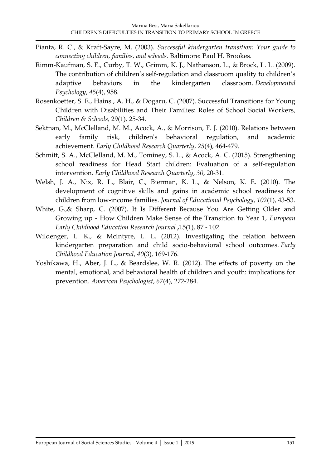- Pianta, R. C., & Kraft-Sayre, M. (2003). *Successful kindergarten transition: Your guide to connecting children, families, and schools.* Baltimore: Paul H. Brookes.
- Rimm-Kaufman, S. E., Curby, T. W., Grimm, K. J., Nathanson, L., & Brock, L. L. (2009). The contribution of children's self-regulation and classroom quality to children's adaptive behaviors in the kindergarten classroom. *Developmental Psychology*, *45*(4), 958.
- Rosenkoetter, S. E., Hains , A. H., & Dogaru, C. (2007). Successful Transitions for Young Children with Disabilities and Their Families: Roles of School Social Workers*, Children & Schools,* 29(1), 25-34.
- Sektnan, M., McClelland, M. M., Acock, A., & Morrison, F. J. (2010). Relations between early family risk, children's behavioral regulation, and academic achievement. *Early Childhood Research Quarterly*, *25*(4), 464-479.
- Schmitt, S. A., McClelland, M. M., Tominey, S. L., & Acock, A. C. (2015). Strengthening school readiness for Head Start children: Evaluation of a self-regulation intervention. *Early Childhood Research Quarterly*, *30*, 20-31.
- Welsh, J. A., Nix, R. L., Blair, C., Bierman, K. L., & Nelson, K. E. (2010). The development of cognitive skills and gains in academic school readiness for children from low-income families. *Journal of Educational Psychology*, *102*(1), 43-53.
- White, G.,& Sharp, C. (2007). It Is Different Because You Are Getting Older and Growing up - How Children Make Sense of the Transition to Year 1, *European Early Childhood Education Research Journal ,*15(1), 87 - 102.
- Wildenger, L. K., & McIntyre, L. L. (2012). Investigating the relation between kindergarten preparation and child socio-behavioral school outcomes. *Early Childhood Education Journal*, *40*(3), 169-176.
- Yoshikawa, H., Aber, J. L., & Beardslee, W. R. (2012). The effects of poverty on the mental, emotional, and behavioral health of children and youth: implications for prevention. *American Psychologist*, *67*(4), 272-284.